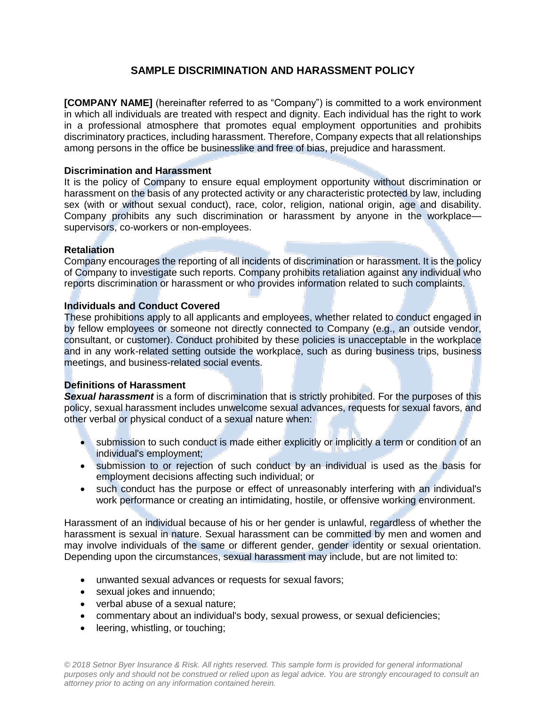# **SAMPLE DISCRIMINATION AND HARASSMENT POLICY**

**[COMPANY NAME]** (hereinafter referred to as "Company") is committed to a work environment in which all individuals are treated with respect and dignity. Each individual has the right to work in a professional atmosphere that promotes equal employment opportunities and prohibits discriminatory practices, including harassment. Therefore, Company expects that all relationships among persons in the office be businesslike and free of bias, prejudice and harassment.

## **Discrimination and Harassment**

It is the policy of Company to ensure equal employment opportunity without discrimination or harassment on the basis of any protected activity or any characteristic protected by law, including sex (with or without sexual conduct), race, color, religion, national origin, age and disability. Company prohibits any such discrimination or harassment by anyone in the workplace supervisors, co-workers or non-employees.

## **Retaliation**

Company encourages the reporting of all incidents of discrimination or harassment. It is the policy of Company to investigate such reports. Company prohibits retaliation against any individual who reports discrimination or harassment or who provides information related to such complaints.

## **Individuals and Conduct Covered**

These prohibitions apply to all applicants and employees, whether related to conduct engaged in by fellow employees or someone not directly connected to Company (e.g., an outside vendor, consultant, or customer). Conduct prohibited by these policies is unacceptable in the workplace and in any work-related setting outside the workplace, such as during business trips, business meetings, and business-related social events.

# **Definitions of Harassment**

*Sexual harassment* is a form of discrimination that is strictly prohibited. For the purposes of this policy, sexual harassment includes unwelcome sexual advances, requests for sexual favors, and other verbal or physical conduct of a sexual nature when:

- submission to such conduct is made either explicitly or implicitly a term or condition of an individual's employment;
- submission to or rejection of such conduct by an individual is used as the basis for employment decisions affecting such individual; or
- such conduct has the purpose or effect of unreasonably interfering with an individual's work performance or creating an intimidating, hostile, or offensive working environment.

Harassment of an individual because of his or her gender is unlawful, regardless of whether the harassment is sexual in nature. Sexual harassment can be committed by men and women and may involve individuals of the same or different gender, gender identity or sexual orientation. Depending upon the circumstances, sexual harassment may include, but are not limited to:

- unwanted sexual advances or requests for sexual favors;
- sexual jokes and innuendo:
- verbal abuse of a sexual nature;
- commentary about an individual's body, sexual prowess, or sexual deficiencies;
- leering, whistling, or touching;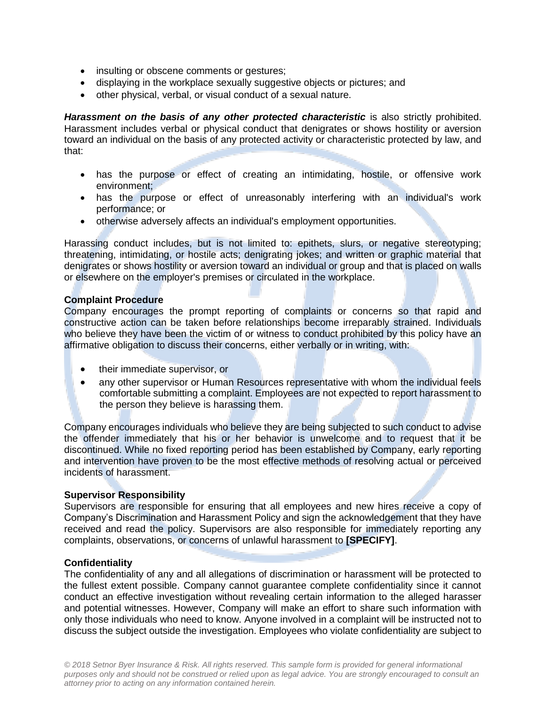- insulting or obscene comments or gestures;
- displaying in the workplace sexually suggestive objects or pictures; and
- other physical, verbal, or visual conduct of a sexual nature.

**Harassment on the basis of any other protected characteristic** is also strictly prohibited. Harassment includes verbal or physical conduct that denigrates or shows hostility or aversion toward an individual on the basis of any protected activity or characteristic protected by law, and that:

- has the purpose or effect of creating an intimidating, hostile, or offensive work environment;
- has the purpose or effect of unreasonably interfering with an individual's work performance; or
- otherwise adversely affects an individual's employment opportunities.

Harassing conduct includes, but is not limited to: epithets, slurs, or negative stereotyping; threatening, intimidating, or hostile acts; denigrating jokes; and written or graphic material that denigrates or shows hostility or aversion toward an individual or group and that is placed on walls or elsewhere on the employer's premises or circulated in the workplace.

#### **Complaint Procedure**

Company encourages the prompt reporting of complaints or concerns so that rapid and constructive action can be taken before relationships become irreparably strained. Individuals who believe they have been the victim of or witness to conduct prohibited by this policy have an affirmative obligation to discuss their concerns, either verbally or in writing, with:

- their immediate supervisor, or
- any other supervisor or Human Resources representative with whom the individual feels comfortable submitting a complaint. Employees are not expected to report harassment to the person they believe is harassing them.

Company encourages individuals who believe they are being subjected to such conduct to advise the offender immediately that his or her behavior is unwelcome and to request that it be discontinued. While no fixed reporting period has been established by Company, early reporting and intervention have proven to be the most effective methods of resolving actual or perceived incidents of harassment.

#### **Supervisor Responsibility**

Supervisors are responsible for ensuring that all employees and new hires receive a copy of Company's Discrimination and Harassment Policy and sign the acknowledgement that they have received and read the policy. Supervisors are also responsible for immediately reporting any complaints, observations, or concerns of unlawful harassment to **[SPECIFY]**.

#### **Confidentiality**

The confidentiality of any and all allegations of discrimination or harassment will be protected to the fullest extent possible. Company cannot guarantee complete confidentiality since it cannot conduct an effective investigation without revealing certain information to the alleged harasser and potential witnesses. However, Company will make an effort to share such information with only those individuals who need to know. Anyone involved in a complaint will be instructed not to discuss the subject outside the investigation. Employees who violate confidentiality are subject to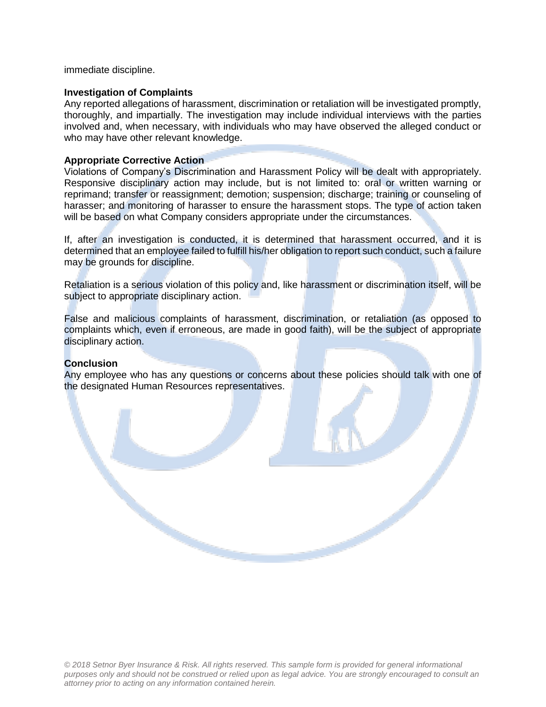immediate discipline.

#### **Investigation of Complaints**

Any reported allegations of harassment, discrimination or retaliation will be investigated promptly, thoroughly, and impartially. The investigation may include individual interviews with the parties involved and, when necessary, with individuals who may have observed the alleged conduct or who may have other relevant knowledge.

#### **Appropriate Corrective Action**

Violations of Company's Discrimination and Harassment Policy will be dealt with appropriately. Responsive disciplinary action may include, but is not limited to: oral or written warning or reprimand; transfer or reassignment; demotion; suspension; discharge; training or counseling of harasser; and monitoring of harasser to ensure the harassment stops. The type of action taken will be based on what Company considers appropriate under the circumstances.

If, after an investigation is conducted, it is determined that harassment occurred, and it is determined that an employee failed to fulfill his/her obligation to report such conduct, such a failure may be grounds for discipline.

Retaliation is a serious violation of this policy and, like harassment or discrimination itself, will be subject to appropriate disciplinary action.

False and malicious complaints of harassment, discrimination, or retaliation (as opposed to complaints which, even if erroneous, are made in good faith), will be the subject of appropriate disciplinary action.

#### **Conclusion**

Any employee who has any questions or concerns about these policies should talk with one of the designated Human Resources representatives.